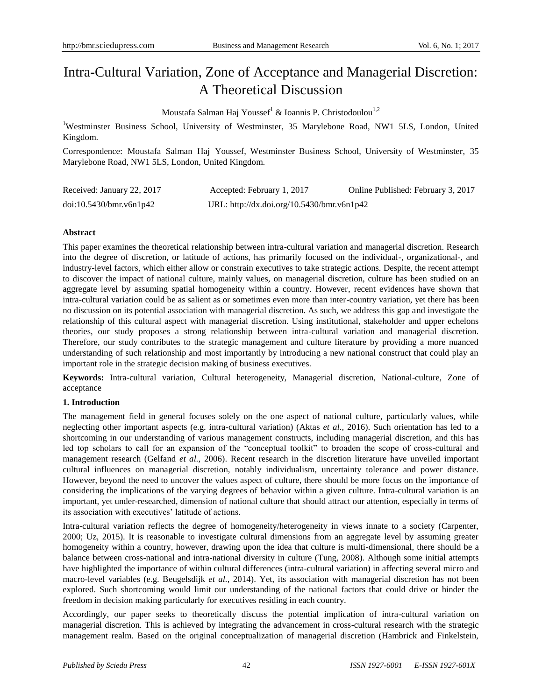# Intra-Cultural Variation, Zone of Acceptance and Managerial Discretion: A Theoretical Discussion

Moustafa Salman Haj Youssef<sup>1</sup> & Ioannis P. Christodoulou<sup>1,2</sup>

<sup>1</sup>Westminster Business School, University of Westminster, 35 Marylebone Road, NW1 5LS, London, United Kingdom.

Correspondence: Moustafa Salman Haj Youssef, Westminster Business School, University of Westminster, 35 Marylebone Road, NW1 5LS, London, United Kingdom.

| Received: January 22, 2017 | Accepted: February 1, 2017                 | Online Published: February 3, 2017 |
|----------------------------|--------------------------------------------|------------------------------------|
| doi:10.5430/bmr.v6n1p42    | URL: http://dx.doi.org/10.5430/bmr.v6n1p42 |                                    |

## **Abstract**

This paper examines the theoretical relationship between intra-cultural variation and managerial discretion. Research into the degree of discretion, or latitude of actions, has primarily focused on the individual-, organizational-, and industry-level factors, which either allow or constrain executives to take strategic actions. Despite, the recent attempt to discover the impact of national culture, mainly values, on managerial discretion, culture has been studied on an aggregate level by assuming spatial homogeneity within a country. However, recent evidences have shown that intra-cultural variation could be as salient as or sometimes even more than inter-country variation, yet there has been no discussion on its potential association with managerial discretion. As such, we address this gap and investigate the relationship of this cultural aspect with managerial discretion. Using institutional, stakeholder and upper echelons theories, our study proposes a strong relationship between intra-cultural variation and managerial discretion. Therefore, our study contributes to the strategic management and culture literature by providing a more nuanced understanding of such relationship and most importantly by introducing a new national construct that could play an important role in the strategic decision making of business executives.

**Keywords:** Intra-cultural variation, Cultural heterogeneity, Managerial discretion, National-culture, Zone of acceptance

## **1. Introduction**

The management field in general focuses solely on the one aspect of national culture, particularly values, while neglecting other important aspects (e.g. intra-cultural variation) (Aktas *et al.,* 2016). Such orientation has led to a shortcoming in our understanding of various management constructs, including managerial discretion, and this has led top scholars to call for an expansion of the "conceptual toolkit" to broaden the scope of cross-cultural and management research (Gelfand *et al.,* 2006). Recent research in the discretion literature have unveiled important cultural influences on managerial discretion, notably individualism, uncertainty tolerance and power distance. However, beyond the need to uncover the values aspect of culture, there should be more focus on the importance of considering the implications of the varying degrees of behavior within a given culture. Intra-cultural variation is an important, yet under-researched, dimension of national culture that should attract our attention, especially in terms of its association with executives' latitude of actions.

Intra-cultural variation reflects the degree of homogeneity/heterogeneity in views innate to a society (Carpenter, 2000; Uz, 2015). It is reasonable to investigate cultural dimensions from an aggregate level by assuming greater homogeneity within a country, however, drawing upon the idea that culture is multi-dimensional, there should be a balance between cross-national and intra-national diversity in culture (Tung, 2008). Although some initial attempts have highlighted the importance of within cultural differences (intra-cultural variation) in affecting several micro and macro-level variables (e.g. Beugelsdijk *et al.*, 2014). Yet, its association with managerial discretion has not been explored. Such shortcoming would limit our understanding of the national factors that could drive or hinder the freedom in decision making particularly for executives residing in each country.

Accordingly, our paper seeks to theoretically discuss the potential implication of intra-cultural variation on managerial discretion. This is achieved by integrating the advancement in cross-cultural research with the strategic management realm. Based on the original conceptualization of managerial discretion (Hambrick and Finkelstein,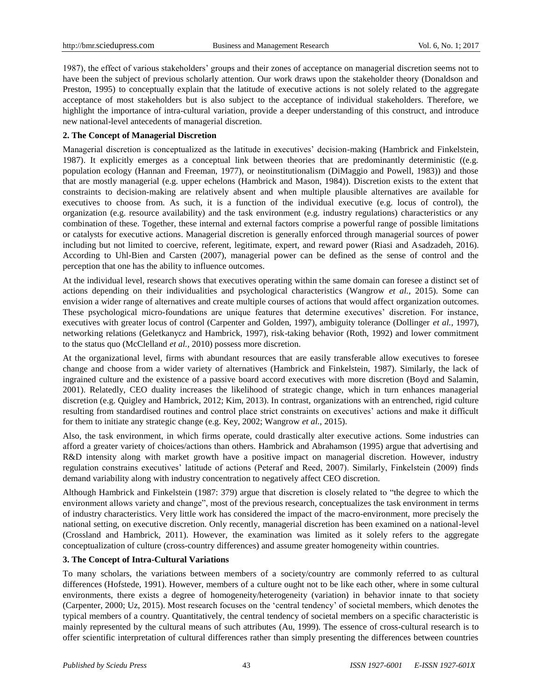1987), the effect of various stakeholders' groups and their zones of acceptance on managerial discretion seems not to have been the subject of previous scholarly attention. Our work draws upon the stakeholder theory (Donaldson and Preston, 1995) to conceptually explain that the latitude of executive actions is not solely related to the aggregate acceptance of most stakeholders but is also subject to the acceptance of individual stakeholders. Therefore, we highlight the importance of intra-cultural variation, provide a deeper understanding of this construct, and introduce new national-level antecedents of managerial discretion.

## **2. The Concept of Managerial Discretion**

Managerial discretion is conceptualized as the latitude in executives' decision-making (Hambrick and Finkelstein, 1987). It explicitly emerges as a conceptual link between theories that are predominantly deterministic ((e.g. population ecology (Hannan and Freeman, 1977), or neoinstitutionalism (DiMaggio and Powell, 1983)) and those that are mostly managerial (e.g. upper echelons (Hambrick and Mason, 1984)). Discretion exists to the extent that constraints to decision-making are relatively absent and when multiple plausible alternatives are available for executives to choose from. As such, it is a function of the individual executive (e.g. locus of control), the organization (e.g. resource availability) and the task environment (e.g. industry regulations) characteristics or any combination of these. Together, these internal and external factors comprise a powerful range of possible limitations or catalysts for executive actions. Managerial discretion is generally enforced through managerial sources of power including but not limited to coercive, referent, legitimate, expert, and reward power (Riasi and Asadzadeh, 2016). According to Uhl-Bien and Carsten (2007), managerial power can be defined as the sense of control and the perception that one has the ability to influence outcomes.

At the individual level, research shows that executives operating within the same domain can foresee a distinct set of actions depending on their individualities and psychological characteristics (Wangrow *et al.,* 2015). Some can envision a wider range of alternatives and create multiple courses of actions that would affect organization outcomes. These psychological micro-foundations are unique features that determine executives' discretion. For instance, executives with greater locus of control (Carpenter and Golden, 1997), ambiguity tolerance (Dollinger *et al.,* 1997), networking relations (Geletkanycz and Hambrick, 1997), risk-taking behavior (Roth, 1992) and lower commitment to the status quo (McClelland *et al.,* 2010) possess more discretion.

At the organizational level, firms with abundant resources that are easily transferable allow executives to foresee change and choose from a wider variety of alternatives (Hambrick and Finkelstein, 1987). Similarly, the lack of ingrained culture and the existence of a passive board accord executives with more discretion (Boyd and Salamin, 2001). Relatedly, CEO duality increases the likelihood of strategic change, which in turn enhances managerial discretion (e.g. Quigley and Hambrick, 2012; Kim, 2013). In contrast, organizations with an entrenched, rigid culture resulting from standardised routines and control place strict constraints on executives' actions and make it difficult for them to initiate any strategic change (e.g. Key, 2002; Wangrow *et al.,* 2015).

Also, the task environment, in which firms operate, could drastically alter executive actions. Some industries can afford a greater variety of choices/actions than others. Hambrick and Abrahamson (1995) argue that advertising and R&D intensity along with market growth have a positive impact on managerial discretion. However, industry regulation constrains executives' latitude of actions (Peteraf and Reed, 2007). Similarly, Finkelstein (2009) finds demand variability along with industry concentration to negatively affect CEO discretion.

Although Hambrick and Finkelstein (1987: 379) argue that discretion is closely related to "the degree to which the environment allows variety and change", most of the previous research, conceptualizes the task environment in terms of industry characteristics. Very little work has considered the impact of the macro-environment, more precisely the national setting, on executive discretion. Only recently, managerial discretion has been examined on a national-level (Crossland and Hambrick, 2011). However, the examination was limited as it solely refers to the aggregate conceptualization of culture (cross-country differences) and assume greater homogeneity within countries.

## **3. The Concept of Intra-Cultural Variations**

To many scholars, the variations between members of a society/country are commonly referred to as cultural differences (Hofstede, 1991). However, members of a culture ought not to be like each other, where in some cultural environments, there exists a degree of homogeneity/heterogeneity (variation) in behavior innate to that society (Carpenter, 2000; Uz, 2015). Most research focuses on the 'central tendency' of societal members, which denotes the typical members of a country. Quantitatively, the central tendency of societal members on a specific characteristic is mainly represented by the cultural means of such attributes (Au, 1999). The essence of cross-cultural research is to offer scientific interpretation of cultural differences rather than simply presenting the differences between countries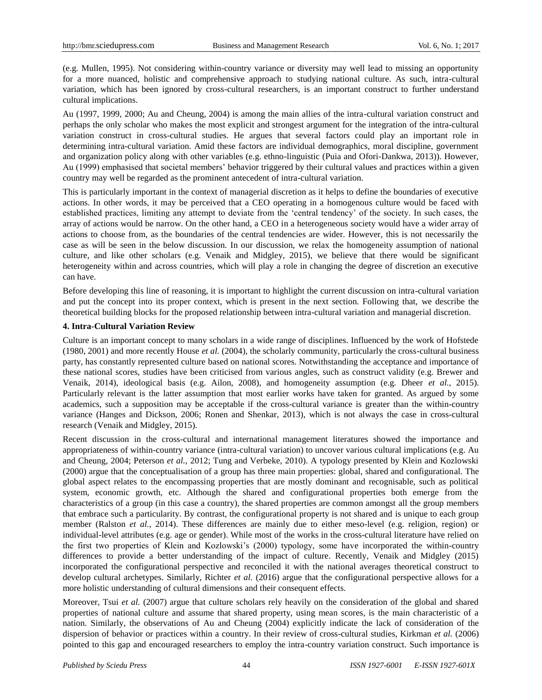(e.g. Mullen, 1995). Not considering within-country variance or diversity may well lead to missing an opportunity for a more nuanced, holistic and comprehensive approach to studying national culture. As such, intra-cultural variation, which has been ignored by cross-cultural researchers, is an important construct to further understand cultural implications.

Au (1997, 1999, 2000; Au and Cheung, 2004) is among the main allies of the intra-cultural variation construct and perhaps the only scholar who makes the most explicit and strongest argument for the integration of the intra-cultural variation construct in cross-cultural studies. He argues that several factors could play an important role in determining intra-cultural variation. Amid these factors are individual demographics, moral discipline, government and organization policy along with other variables (e.g. ethno-linguistic (Puia and Ofori-Dankwa, 2013)). However, Au (1999) emphasised that societal members' behavior triggered by their cultural values and practices within a given country may well be regarded as the prominent antecedent of intra-cultural variation.

This is particularly important in the context of managerial discretion as it helps to define the boundaries of executive actions. In other words, it may be perceived that a CEO operating in a homogenous culture would be faced with established practices, limiting any attempt to deviate from the 'central tendency' of the society. In such cases, the array of actions would be narrow. On the other hand, a CEO in a heterogeneous society would have a wider array of actions to choose from, as the boundaries of the central tendencies are wider. However, this is not necessarily the case as will be seen in the below discussion. In our discussion, we relax the homogeneity assumption of national culture, and like other scholars (e.g. Venaik and Midgley, 2015), we believe that there would be significant heterogeneity within and across countries, which will play a role in changing the degree of discretion an executive can have.

Before developing this line of reasoning, it is important to highlight the current discussion on intra-cultural variation and put the concept into its proper context, which is present in the next section. Following that, we describe the theoretical building blocks for the proposed relationship between intra-cultural variation and managerial discretion.

#### **4. Intra-Cultural Variation Review**

Culture is an important concept to many scholars in a wide range of disciplines. Influenced by the work of Hofstede (1980, 2001) and more recently House *et al.* (2004), the scholarly community, particularly the cross-cultural business party, has constantly represented culture based on national scores. Notwithstanding the acceptance and importance of these national scores, studies have been criticised from various angles, such as construct validity (e.g. Brewer and Venaik, 2014), ideological basis (e.g. Ailon, 2008), and homogeneity assumption (e.g. Dheer *et al.*, 2015). Particularly relevant is the latter assumption that most earlier works have taken for granted. As argued by some academics, such a supposition may be acceptable if the cross-cultural variance is greater than the within-country variance (Hanges and Dickson, 2006; Ronen and Shenkar, 2013), which is not always the case in cross-cultural research (Venaik and Midgley, 2015).

Recent discussion in the cross-cultural and international management literatures showed the importance and appropriateness of within-country variance (intra-cultural variation) to uncover various cultural implications (e.g. Au and Cheung, 2004; Peterson *et al.*, 2012; Tung and Verbeke, 2010). A typology presented by Klein and Kozlowski (2000) argue that the conceptualisation of a group has three main properties: global, shared and configurational. The global aspect relates to the encompassing properties that are mostly dominant and recognisable, such as political system, economic growth, etc. Although the shared and configurational properties both emerge from the characteristics of a group (in this case a country), the shared properties are common amongst all the group members that embrace such a particularity. By contrast, the configurational property is not shared and is unique to each group member (Ralston *et al.*, 2014). These differences are mainly due to either meso-level (e.g. religion, region) or individual-level attributes (e.g. age or gender). While most of the works in the cross-cultural literature have relied on the first two properties of Klein and Kozlowski's (2000) typology, some have incorporated the within-country differences to provide a better understanding of the impact of culture. Recently, Venaik and Midgley (2015) incorporated the configurational perspective and reconciled it with the national averages theoretical construct to develop cultural archetypes. Similarly, Richter *et al.* (2016) argue that the configurational perspective allows for a more holistic understanding of cultural dimensions and their consequent effects.

Moreover, Tsui *et al.* (2007) argue that culture scholars rely heavily on the consideration of the global and shared properties of national culture and assume that shared property, using mean scores, is the main characteristic of a nation. Similarly, the observations of Au and Cheung (2004) explicitly indicate the lack of consideration of the dispersion of behavior or practices within a country. In their review of cross-cultural studies, Kirkman *et al.* (2006) pointed to this gap and encouraged researchers to employ the intra-country variation construct. Such importance is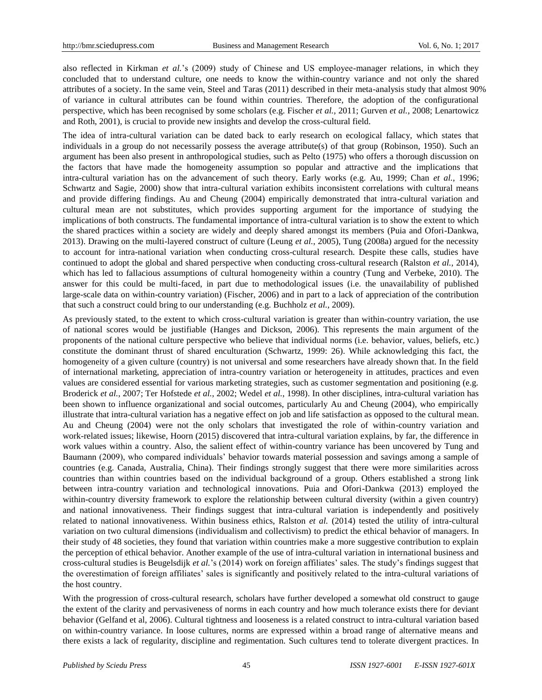also reflected in Kirkman *et al.*'s (2009) study of Chinese and US employee-manager relations, in which they concluded that to understand culture, one needs to know the within-country variance and not only the shared attributes of a society. In the same vein, Steel and Taras (2011) described in their meta-analysis study that almost 90% of variance in cultural attributes can be found within countries. Therefore, the adoption of the configurational perspective, which has been recognised by some scholars (e.g. Fischer *et al.*, 2011; Gurven *et al.*, 2008; Lenartowicz and Roth, 2001), is crucial to provide new insights and develop the cross-cultural field.

The idea of intra-cultural variation can be dated back to early research on ecological fallacy, which states that individuals in a group do not necessarily possess the average attribute(s) of that group (Robinson, 1950). Such an argument has been also present in anthropological studies, such as Pelto (1975) who offers a thorough discussion on the factors that have made the homogeneity assumption so popular and attractive and the implications that intra-cultural variation has on the advancement of such theory. Early works (e.g. Au, 1999; Chan *et al.*, 1996; Schwartz and Sagie, 2000) show that intra-cultural variation exhibits inconsistent correlations with cultural means and provide differing findings. Au and Cheung (2004) empirically demonstrated that intra-cultural variation and cultural mean are not substitutes, which provides supporting argument for the importance of studying the implications of both constructs. The fundamental importance of intra-cultural variation is to show the extent to which the shared practices within a society are widely and deeply shared amongst its members (Puia and Ofori-Dankwa, 2013). Drawing on the multi-layered construct of culture (Leung *et al.*, 2005), Tung (2008a) argued for the necessity to account for intra-national variation when conducting cross-cultural research. Despite these calls, studies have continued to adopt the global and shared perspective when conducting cross-cultural research (Ralston *et al.*, 2014), which has led to fallacious assumptions of cultural homogeneity within a country (Tung and Verbeke, 2010). The answer for this could be multi-faced, in part due to methodological issues (i.e. the unavailability of published large-scale data on within-country variation) (Fischer, 2006) and in part to a lack of appreciation of the contribution that such a construct could bring to our understanding (e.g. Buchholz *et al.*, 2009).

As previously stated, to the extent to which cross-cultural variation is greater than within-country variation, the use of national scores would be justifiable (Hanges and Dickson, 2006). This represents the main argument of the proponents of the national culture perspective who believe that individual norms (i.e. behavior, values, beliefs, etc.) constitute the dominant thrust of shared enculturation (Schwartz, 1999: 26). While acknowledging this fact, the homogeneity of a given culture (country) is not universal and some researchers have already shown that. In the field of international marketing, appreciation of intra-country variation or heterogeneity in attitudes, practices and even values are considered essential for various marketing strategies, such as customer segmentation and positioning (e.g. Broderick *et al.*, 2007; Ter Hofstede *et al.*, 2002; Wedel *et al.*, 1998). In other disciplines, intra-cultural variation has been shown to influence organizational and social outcomes, particularly Au and Cheung (2004), who empirically illustrate that intra-cultural variation has a negative effect on job and life satisfaction as opposed to the cultural mean. Au and Cheung (2004) were not the only scholars that investigated the role of within-country variation and work-related issues; likewise, Hoorn (2015) discovered that intra-cultural variation explains, by far, the difference in work values within a country. Also, the salient effect of within-country variance has been uncovered by Tung and Baumann (2009), who compared individuals' behavior towards material possession and savings among a sample of countries (e.g. Canada, Australia, China). Their findings strongly suggest that there were more similarities across countries than within countries based on the individual background of a group. Others established a strong link between intra-country variation and technological innovations. Puia and Ofori-Dankwa (2013) employed the within-country diversity framework to explore the relationship between cultural diversity (within a given country) and national innovativeness. Their findings suggest that intra-cultural variation is independently and positively related to national innovativeness. Within business ethics, Ralston *et al.* (2014) tested the utility of intra-cultural variation on two cultural dimensions (individualism and collectivism) to predict the ethical behavior of managers. In their study of 48 societies, they found that variation within countries make a more suggestive contribution to explain the perception of ethical behavior. Another example of the use of intra-cultural variation in international business and cross-cultural studies is Beugelsdijk *et al.*'s (2014) work on foreign affiliates' sales. The study's findings suggest that the overestimation of foreign affiliates' sales is significantly and positively related to the intra-cultural variations of the host country.

With the progression of cross-cultural research, scholars have further developed a somewhat old construct to gauge the extent of the clarity and pervasiveness of norms in each country and how much tolerance exists there for deviant behavior (Gelfand et al, 2006). Cultural tightness and looseness is a related construct to intra-cultural variation based on within-country variance. In loose cultures, norms are expressed within a broad range of alternative means and there exists a lack of regularity, discipline and regimentation. Such cultures tend to tolerate divergent practices. In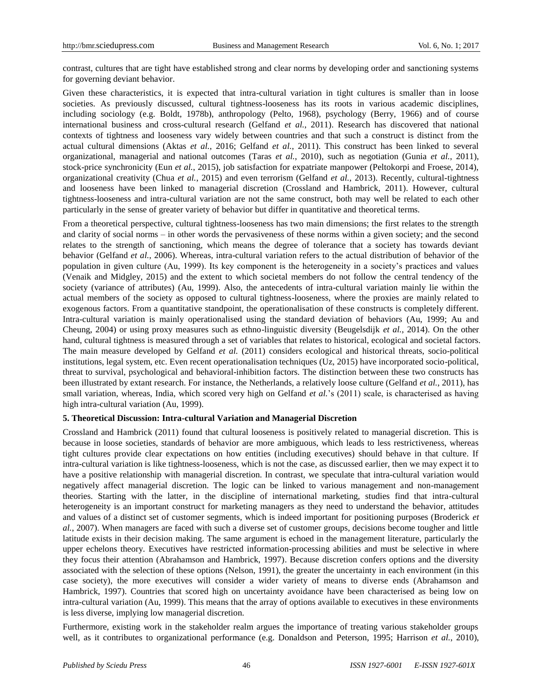contrast, cultures that are tight have established strong and clear norms by developing order and sanctioning systems for governing deviant behavior.

Given these characteristics, it is expected that intra-cultural variation in tight cultures is smaller than in loose societies. As previously discussed, cultural tightness-looseness has its roots in various academic disciplines, including sociology (e.g. Boldt, 1978b), anthropology (Pelto, 1968), psychology (Berry, 1966) and of course international business and cross-cultural research (Gelfand *et al.*, 2011). Research has discovered that national contexts of tightness and looseness vary widely between countries and that such a construct is distinct from the actual cultural dimensions (Aktas *et al.*, 2016; Gelfand *et al.*, 2011). This construct has been linked to several organizational, managerial and national outcomes (Taras *et al.*, 2010), such as negotiation (Gunia *et al.*, 2011), stock-price synchronicity (Eun *et al.*, 2015), job satisfaction for expatriate manpower (Peltokorpi and Froese, 2014), organizational creativity (Chua *et al.*, 2015) and even terrorism (Gelfand *et al.*, 2013). Recently, cultural-tightness and looseness have been linked to managerial discretion (Crossland and Hambrick, 2011). However, cultural tightness-looseness and intra-cultural variation are not the same construct, both may well be related to each other particularly in the sense of greater variety of behavior but differ in quantitative and theoretical terms.

From a theoretical perspective, cultural tightness-looseness has two main dimensions; the first relates to the strength and clarity of social norms – in other words the pervasiveness of these norms within a given society; and the second relates to the strength of sanctioning, which means the degree of tolerance that a society has towards deviant behavior (Gelfand *et al.*, 2006). Whereas, intra-cultural variation refers to the actual distribution of behavior of the population in given culture (Au, 1999). Its key component is the heterogeneity in a society's practices and values (Venaik and Midgley, 2015) and the extent to which societal members do not follow the central tendency of the society (variance of attributes) (Au, 1999). Also, the antecedents of intra-cultural variation mainly lie within the actual members of the society as opposed to cultural tightness-looseness, where the proxies are mainly related to exogenous factors. From a quantitative standpoint, the operationalisation of these constructs is completely different. Intra-cultural variation is mainly operationalised using the standard deviation of behaviors (Au, 1999; Au and Cheung, 2004) or using proxy measures such as ethno-linguistic diversity (Beugelsdijk *et al.*, 2014). On the other hand, cultural tightness is measured through a set of variables that relates to historical, ecological and societal factors. The main measure developed by Gelfand *et al.* (2011) considers ecological and historical threats, socio-political institutions, legal system, etc. Even recent operationalisation techniques (Uz, 2015) have incorporated socio-political, threat to survival, psychological and behavioral-inhibition factors. The distinction between these two constructs has been illustrated by extant research. For instance, the Netherlands, a relatively loose culture (Gelfand *et al.*, 2011), has small variation, whereas, India, which scored very high on Gelfand *et al.*'s (2011) scale, is characterised as having high intra-cultural variation (Au, 1999).

#### **5. Theoretical Discussion: Intra-cultural Variation and Managerial Discretion**

Crossland and Hambrick (2011) found that cultural looseness is positively related to managerial discretion. This is because in loose societies, standards of behavior are more ambiguous, which leads to less restrictiveness, whereas tight cultures provide clear expectations on how entities (including executives) should behave in that culture. If intra-cultural variation is like tightness-looseness, which is not the case, as discussed earlier, then we may expect it to have a positive relationship with managerial discretion. In contrast, we speculate that intra-cultural variation would negatively affect managerial discretion. The logic can be linked to various management and non-management theories. Starting with the latter, in the discipline of international marketing, studies find that intra-cultural heterogeneity is an important construct for marketing managers as they need to understand the behavior, attitudes and values of a distinct set of customer segments, which is indeed important for positioning purposes (Broderick *et al.*, 2007). When managers are faced with such a diverse set of customer groups, decisions become tougher and little latitude exists in their decision making. The same argument is echoed in the management literature, particularly the upper echelons theory. Executives have restricted information-processing abilities and must be selective in where they focus their attention (Abrahamson and Hambrick, 1997). Because discretion confers options and the diversity associated with the selection of these options (Nelson, 1991), the greater the uncertainty in each environment (in this case society), the more executives will consider a wider variety of means to diverse ends (Abrahamson and Hambrick, 1997). Countries that scored high on uncertainty avoidance have been characterised as being low on intra-cultural variation (Au, 1999). This means that the array of options available to executives in these environments is less diverse, implying low managerial discretion.

Furthermore, existing work in the stakeholder realm argues the importance of treating various stakeholder groups well, as it contributes to organizational performance (e.g. Donaldson and Peterson, 1995; Harrison *et al.*, 2010),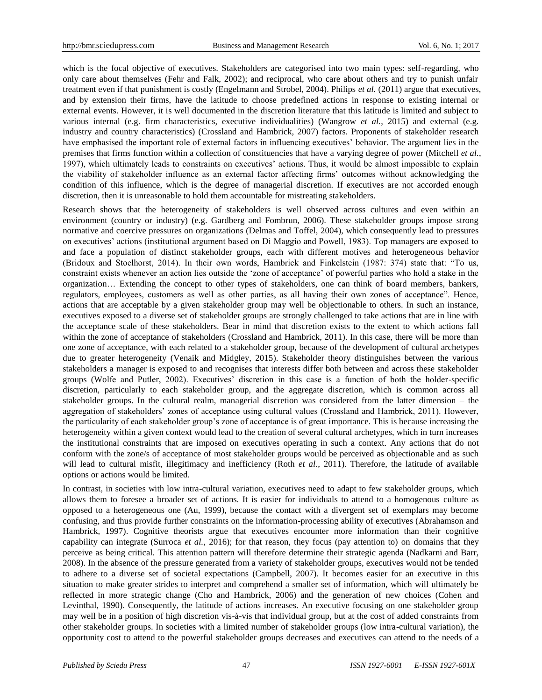which is the focal objective of executives. Stakeholders are categorised into two main types: self-regarding, who only care about themselves (Fehr and Falk, 2002); and reciprocal, who care about others and try to punish unfair treatment even if that punishment is costly (Engelmann and Strobel, 2004). Philips *et al.* (2011) argue that executives, and by extension their firms, have the latitude to choose predefined actions in response to existing internal or external events. However, it is well documented in the discretion literature that this latitude is limited and subject to various internal (e.g. firm characteristics, executive individualities) (Wangrow *et al.*, 2015) and external (e.g. industry and country characteristics) (Crossland and Hambrick, 2007) factors. Proponents of stakeholder research have emphasised the important role of external factors in influencing executives' behavior. The argument lies in the premises that firms function within a collection of constituencies that have a varying degree of power (Mitchell *et al.*, 1997), which ultimately leads to constraints on executives' actions. Thus, it would be almost impossible to explain the viability of stakeholder influence as an external factor affecting firms' outcomes without acknowledging the condition of this influence, which is the degree of managerial discretion. If executives are not accorded enough discretion, then it is unreasonable to hold them accountable for mistreating stakeholders.

Research shows that the heterogeneity of stakeholders is well observed across cultures and even within an environment (country or industry) (e.g. Gardberg and Fombrun, 2006). These stakeholder groups impose strong normative and coercive pressures on organizations (Delmas and Toffel, 2004), which consequently lead to pressures on executives' actions (institutional argument based on Di Maggio and Powell, 1983). Top managers are exposed to and face a population of distinct stakeholder groups, each with different motives and heterogeneous behavior (Bridoux and Stoelhorst, 2014). In their own words, Hambrick and Finkelstein (1987: 374) state that: "To us, constraint exists whenever an action lies outside the 'zone of acceptance' of powerful parties who hold a stake in the organization… Extending the concept to other types of stakeholders, one can think of board members, bankers, regulators, employees, customers as well as other parties, as all having their own zones of acceptance". Hence, actions that are acceptable by a given stakeholder group may well be objectionable to others. In such an instance, executives exposed to a diverse set of stakeholder groups are strongly challenged to take actions that are in line with the acceptance scale of these stakeholders. Bear in mind that discretion exists to the extent to which actions fall within the zone of acceptance of stakeholders (Crossland and Hambrick, 2011). In this case, there will be more than one zone of acceptance, with each related to a stakeholder group, because of the development of cultural archetypes due to greater heterogeneity (Venaik and Midgley, 2015). Stakeholder theory distinguishes between the various stakeholders a manager is exposed to and recognises that interests differ both between and across these stakeholder groups (Wolfe and Putler, 2002). Executives' discretion in this case is a function of both the holder-specific discretion, particularly to each stakeholder group, and the aggregate discretion, which is common across all stakeholder groups. In the cultural realm, managerial discretion was considered from the latter dimension – the aggregation of stakeholders' zones of acceptance using cultural values (Crossland and Hambrick, 2011). However, the particularity of each stakeholder group's zone of acceptance is of great importance. This is because increasing the heterogeneity within a given context would lead to the creation of several cultural archetypes, which in turn increases the institutional constraints that are imposed on executives operating in such a context. Any actions that do not conform with the zone/s of acceptance of most stakeholder groups would be perceived as objectionable and as such will lead to cultural misfit, illegitimacy and inefficiency (Roth *et al.*, 2011). Therefore, the latitude of available options or actions would be limited.

In contrast, in societies with low intra-cultural variation, executives need to adapt to few stakeholder groups, which allows them to foresee a broader set of actions. It is easier for individuals to attend to a homogenous culture as opposed to a heterogeneous one (Au, 1999), because the contact with a divergent set of exemplars may become confusing, and thus provide further constraints on the information-processing ability of executives (Abrahamson and Hambrick, 1997). Cognitive theorists argue that executives encounter more information than their cognitive capability can integrate (Surroca *et al.*, 2016); for that reason, they focus (pay attention to) on domains that they perceive as being critical. This attention pattern will therefore determine their strategic agenda (Nadkarni and Barr, 2008). In the absence of the pressure generated from a variety of stakeholder groups, executives would not be tended to adhere to a diverse set of societal expectations (Campbell, 2007). It becomes easier for an executive in this situation to make greater strides to interpret and comprehend a smaller set of information, which will ultimately be reflected in more strategic change (Cho and Hambrick, 2006) and the generation of new choices (Cohen and Levinthal, 1990). Consequently, the latitude of actions increases. An executive focusing on one stakeholder group may well be in a position of high discretion vis-à-vis that individual group, but at the cost of added constraints from other stakeholder groups. In societies with a limited number of stakeholder groups (low intra-cultural variation), the opportunity cost to attend to the powerful stakeholder groups decreases and executives can attend to the needs of a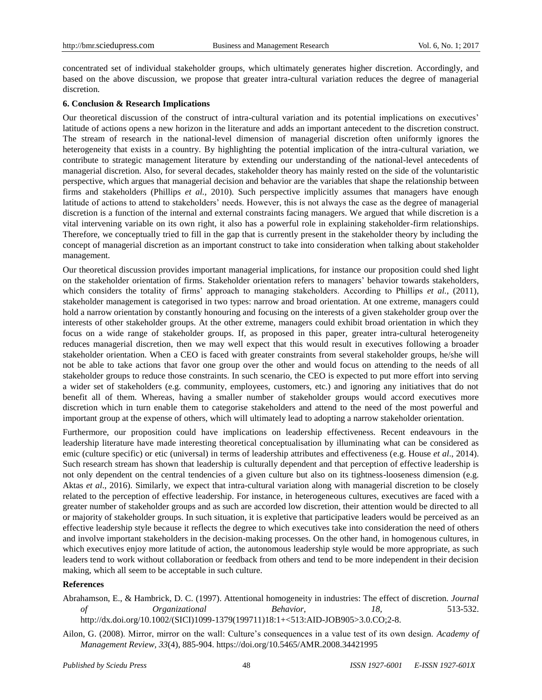concentrated set of individual stakeholder groups, which ultimately generates higher discretion. Accordingly, and based on the above discussion, we propose that greater intra-cultural variation reduces the degree of managerial discretion.

## **6. Conclusion & Research Implications**

Our theoretical discussion of the construct of intra-cultural variation and its potential implications on executives' latitude of actions opens a new horizon in the literature and adds an important antecedent to the discretion construct. The stream of research in the national-level dimension of managerial discretion often uniformly ignores the heterogeneity that exists in a country. By highlighting the potential implication of the intra-cultural variation, we contribute to strategic management literature by extending our understanding of the national-level antecedents of managerial discretion. Also, for several decades, stakeholder theory has mainly rested on the side of the voluntaristic perspective, which argues that managerial decision and behavior are the variables that shape the relationship between firms and stakeholders (Phillips *et al.,* 2010). Such perspective implicitly assumes that managers have enough latitude of actions to attend to stakeholders' needs. However, this is not always the case as the degree of managerial discretion is a function of the internal and external constraints facing managers. We argued that while discretion is a vital intervening variable on its own right, it also has a powerful role in explaining stakeholder-firm relationships. Therefore, we conceptually tried to fill in the gap that is currently present in the stakeholder theory by including the concept of managerial discretion as an important construct to take into consideration when talking about stakeholder management.

Our theoretical discussion provides important managerial implications, for instance our proposition could shed light on the stakeholder orientation of firms. Stakeholder orientation refers to managers' behavior towards stakeholders, which considers the totality of firms' approach to managing stakeholders. According to Phillips *et al.*, (2011), stakeholder management is categorised in two types: narrow and broad orientation. At one extreme, managers could hold a narrow orientation by constantly honouring and focusing on the interests of a given stakeholder group over the interests of other stakeholder groups. At the other extreme, managers could exhibit broad orientation in which they focus on a wide range of stakeholder groups. If, as proposed in this paper, greater intra-cultural heterogeneity reduces managerial discretion, then we may well expect that this would result in executives following a broader stakeholder orientation. When a CEO is faced with greater constraints from several stakeholder groups, he/she will not be able to take actions that favor one group over the other and would focus on attending to the needs of all stakeholder groups to reduce those constraints. In such scenario, the CEO is expected to put more effort into serving a wider set of stakeholders (e.g. community, employees, customers, etc.) and ignoring any initiatives that do not benefit all of them. Whereas, having a smaller number of stakeholder groups would accord executives more discretion which in turn enable them to categorise stakeholders and attend to the need of the most powerful and important group at the expense of others, which will ultimately lead to adopting a narrow stakeholder orientation.

Furthermore, our proposition could have implications on leadership effectiveness. Recent endeavours in the leadership literature have made interesting theoretical conceptualisation by illuminating what can be considered as emic (culture specific) or etic (universal) in terms of leadership attributes and effectiveness (e.g. House *et al*., 2014). Such research stream has shown that leadership is culturally dependent and that perception of effective leadership is not only dependent on the central tendencies of a given culture but also on its tightness-looseness dimension (e.g. Aktas *et al*., 2016). Similarly, we expect that intra-cultural variation along with managerial discretion to be closely related to the perception of effective leadership. For instance, in heterogeneous cultures, executives are faced with a greater number of stakeholder groups and as such are accorded low discretion, their attention would be directed to all or majority of stakeholder groups. In such situation, it is expletive that participative leaders would be perceived as an effective leadership style because it reflects the degree to which executives take into consideration the need of others and involve important stakeholders in the decision-making processes. On the other hand, in homogenous cultures, in which executives enjoy more latitude of action, the autonomous leadership style would be more appropriate, as such leaders tend to work without collaboration or feedback from others and tend to be more independent in their decision making, which all seem to be acceptable in such culture.

## **References**

- Abrahamson, E., & Hambrick, D. C. (1997). Attentional homogeneity in industries: The effect of discretion. *Journal of Organizational Behavior, 18,* 513-532. http://dx.doi.org/10.1002/(SICI)1099-1379(199711)18:1+<513:AID-JOB905>3.0.CO;2-8.
- Ailon, G. (2008). Mirror, mirror on the wall: Culture's consequences in a value test of its own design. *Academy of Management Review, 33*(4), 885-904[. https://doi.org/10.5465/AMR.2008.34421995](https://doi.org/10.5465/AMR.2008.34421995)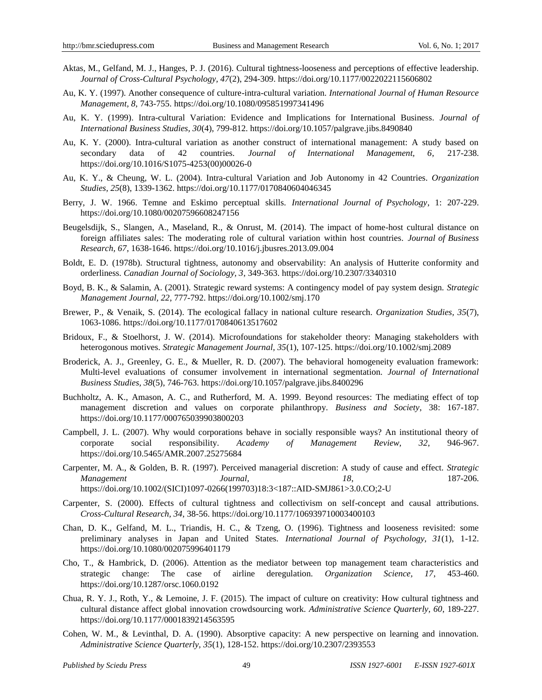- Aktas, M., Gelfand, M. J., Hanges, P. J. (2016). Cultural tightness-looseness and perceptions of effective leadership. *Journal of Cross-Cultural Psychology, 47*(2), 294-309.<https://doi.org/10.1177/0022022115606802>
- Au, K. Y. (1997). Another consequence of culture-intra-cultural variation. *International Journal of Human Resource Management, 8*, 743-755[. https://doi.org/10.1080/095851997341496](https://doi.org/10.1080/095851997341496)
- Au, K. Y. (1999). Intra-cultural Variation: Evidence and Implications for International Business. *Journal of International Business Studies, 30*(4), 799-812[. https://doi.org/10.1057/palgrave.jibs.8490840](https://doi.org/10.1057/palgrave.jibs.8490840)
- Au, K. Y. (2000). Intra-cultural variation as another construct of international management: A study based on secondary data of 42 countries. *Journal of International Management, 6*, 217-238. [https://doi.org/10.1016/S1075-4253\(00\)00026-0](https://doi.org/10.1016/S1075-4253(00)00026-0)
- Au, K. Y., & Cheung, W. L. (2004). Intra-cultural Variation and Job Autonomy in 42 Countries. *Organization Studies, 25*(8), 1339-1362.<https://doi.org/10.1177/0170840604046345>
- Berry, J. W. 1966. Temne and Eskimo perceptual skills. *International Journal of Psychology*, 1: 207-229. <https://doi.org/10.1080/00207596608247156>
- Beugelsdijk, S., Slangen, A., Maseland, R., & Onrust, M. (2014). The impact of home-host cultural distance on foreign affiliates sales: The moderating role of cultural variation within host countries. *Journal of Business Research, 67*, 1638-1646[. https://doi.org/10.1016/j.jbusres.2013.09.004](https://doi.org/10.1016/j.jbusres.2013.09.004)
- Boldt, E. D. (1978b). Structural tightness, autonomy and observability: An analysis of Hutterite conformity and orderliness. *Canadian Journal of Sociology, 3*, 349-363[. https://doi.org/10.2307/3340310](https://doi.org/10.2307/3340310)
- Boyd, B. K., & Salamin, A. (2001). Strategic reward systems: A contingency model of pay system design. *Strategic Management Journal, 22*, 777-792.<https://doi.org/10.1002/smj.170>
- Brewer, P., & Venaik, S. (2014). The ecological fallacy in national culture research. *Organization Studies, 35*(7), 1063-1086.<https://doi.org/10.1177/0170840613517602>
- Bridoux, F., & Stoelhorst, J. W. (2014). Microfoundations for stakeholder theory: Managing stakeholders with heterogonous motives. *Strategic Management Journal, 35*(1), 107-125.<https://doi.org/10.1002/smj.2089>
- Broderick, A. J., Greenley, G. E., & Mueller, R. D. (2007). The behavioral homogeneity evaluation framework: Multi-level evaluations of consumer involvement in international segmentation. *Journal of International Business Studies, 38*(5), 746-763.<https://doi.org/10.1057/palgrave.jibs.8400296>
- Buchholtz, A. K., Amason, A. C., and Rutherford, M. A. 1999. Beyond resources: The mediating effect of top management discretion and values on corporate philanthropy. *Business and Society*, 38: 167-187. <https://doi.org/10.1177/000765039903800203>
- Campbell, J. L. (2007). Why would corporations behave in socially responsible ways? An institutional theory of corporate social responsibility. *Academy of Management Review, 32*, 946-967. <https://doi.org/10.5465/AMR.2007.25275684>
- Carpenter, M. A., & Golden, B. R. (1997). Perceived managerial discretion: A study of cause and effect. *Strategic Management Journal, 18*, 187-206. [https://doi.org/10.1002/\(SICI\)1097-0266\(199703\)18:3<187::AID-SMJ861>3.0.CO;2-U](https://doi.org/10.1002/(SICI)1097-0266(199703)18:3%3c187::AID-SMJ861%3e3.0.CO;2-U)
- Carpenter, S. (2000). Effects of cultural tightness and collectivism on self-concept and causal attributions. *Cross-Cultural Research, 34*, 38-56[. https://doi.org/10.1177/106939710003400103](https://doi.org/10.1177/106939710003400103)
- Chan, D. K., Gelfand, M. L., Triandis, H. C., & Tzeng, O. (1996). Tightness and looseness revisited: some preliminary analyses in Japan and United States. *International Journal of Psychology, 31*(1), 1-12. <https://doi.org/10.1080/002075996401179>
- Cho, T., & Hambrick, D. (2006). Attention as the mediator between top management team characteristics and strategic change: The case of airline deregulation. *Organization Science, 17*, 453-460. <https://doi.org/10.1287/orsc.1060.0192>
- Chua, R. Y. J., Roth, Y., & Lemoine, J. F. (2015). The impact of culture on creativity: How cultural tightness and cultural distance affect global innovation crowdsourcing work. *Administrative Science Quarterly, 60*, 189-227. <https://doi.org/10.1177/0001839214563595>
- Cohen, W. M., & Levinthal, D. A. (1990). Absorptive capacity: A new perspective on learning and innovation. *Administrative Science Quarterly, 35*(1), 128-152[. https://doi.org/10.2307/2393553](https://doi.org/10.2307/2393553)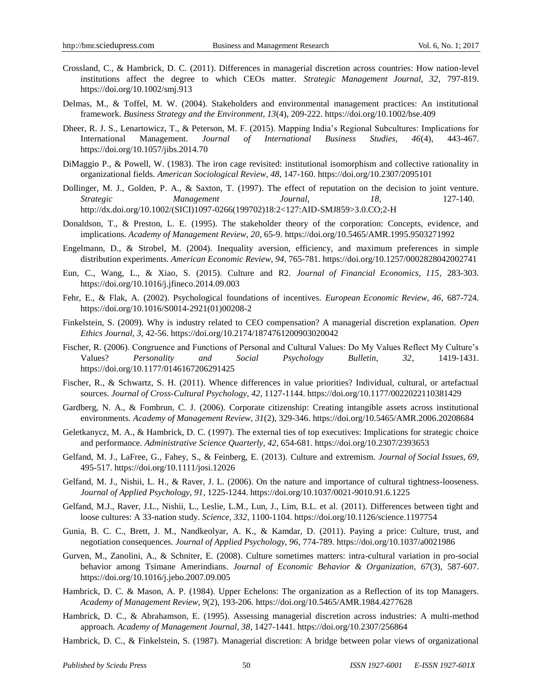- Crossland, C., & Hambrick, D. C. (2011). Differences in managerial discretion across countries: How nation-level institutions affect the degree to which CEOs matter. *Strategic Management Journal, 32*, 797-819. <https://doi.org/10.1002/smj.913>
- Delmas, M., & Toffel, M. W. (2004). Stakeholders and environmental management practices: An institutional framework. *Business Strategy and the Environment, 13*(4), 209-222.<https://doi.org/10.1002/bse.409>
- Dheer, R. J. S., Lenartowicz, T., & Peterson, M. F. (2015). Mapping India's Regional Subcultures: Implications for International Management. *Journal of International Business Studies, 46*(4), 443-467. <https://doi.org/10.1057/jibs.2014.70>
- DiMaggio P., & Powell, W. (1983). The iron cage revisited: institutional isomorphism and collective rationality in organizational fields. *American Sociological Review, 48*, 147-160.<https://doi.org/10.2307/2095101>
- Dollinger, M. J., Golden, P. A., & Saxton, T. (1997). The effect of reputation on the decision to joint venture. *Strategic Management Journal, 18*, 127-140. [http://dx.doi.org/10.1002/\(SICI\)1097-0266\(199702\)18:2<127:AID-SMJ859>3.0.CO;2-H](http://dx.doi.org/10.1002/(SICI)1097-0266(199702)18:2%3c127:AID-SMJ859%3e3.0.CO;2-H)
- Donaldson, T., & Preston, L. E. (1995). The stakeholder theory of the corporation: Concepts, evidence, and implications. *Academy of Management Review, 20*, 65-9. <https://doi.org/10.5465/AMR.1995.9503271992>
- Engelmann, D., & Strobel, M. (2004). Inequality aversion, efficiency, and maximum preferences in simple distribution experiments. *American Economic Review, 94*, 765-781[. https://doi.org/10.1257/0002828042002741](https://doi.org/10.1257/0002828042002741)
- Eun, C., Wang, L., & Xiao, S. (2015). Culture and R2. *Journal of Financial Economics, 115*, 283-303. <https://doi.org/10.1016/j.jfineco.2014.09.003>
- Fehr, E., & Flak, A. (2002). Psychological foundations of incentives. *European Economic Review, 46*, 687-724. [https://doi.org/10.1016/S0014-2921\(01\)00208-2](https://doi.org/10.1016/S0014-2921(01)00208-2)
- Finkelstein, S. (2009). Why is industry related to CEO compensation? A managerial discretion explanation. *Open Ethics Journal, 3*, 42-56.<https://doi.org/10.2174/1874761200903020042>
- Fischer, R. (2006). Congruence and Functions of Personal and Cultural Values: Do My Values Reflect My Culture's Values? *Personality and Social Psychology Bulletin, 32*, 1419-1431. <https://doi.org/10.1177/0146167206291425>
- Fischer, R., & Schwartz, S. H. (2011). Whence differences in value priorities? Individual, cultural, or artefactual sources. *Journal of Cross-Cultural Psychology, 42*, 1127-1144.<https://doi.org/10.1177/0022022110381429>
- Gardberg, N. A., & Fombrun, C. J. (2006). Corporate citizenship: Creating intangible assets across institutional environments. *Academy of Management Review, 31*(2), 329-346[. https://doi.org/10.5465/AMR.2006.20208684](https://doi.org/10.5465/AMR.2006.20208684)
- Geletkanycz, M. A., & Hambrick, D. C. (1997). The external ties of top executives: Implications for strategic choice and performance. *Administrative Science Quarterly, 42*, 654-681. <https://doi.org/10.2307/2393653>
- Gelfand, M. J., LaFree, G., Fahey, S., & Feinberg, E. (2013). Culture and extremism. *Journal of Social Issues, 69*, 495-517.<https://doi.org/10.1111/josi.12026>
- Gelfand, M. J., Nishii, L. H., & Raver, J. L. (2006). On the nature and importance of cultural tightness-looseness. *Journal of Applied Psychology, 91*, 1225-1244.<https://doi.org/10.1037/0021-9010.91.6.1225>
- Gelfand, M.J., Raver, J.L., Nishii, L., Leslie, L.M., Lun, J., Lim, B.L. et al. (2011). Differences between tight and loose cultures: A 33-nation study. *Science, 332*, 1100-1104. <https://doi.org/10.1126/science.1197754>
- Gunia, B. C. C., Brett, J. M., Nandkeolyar, A. K., & Kamdar, D. (2011). Paying a price: Culture, trust, and negotiation consequences. *Journal of Applied Psychology, 96*, 774-789[. https://doi.org/10.1037/a0021986](https://doi.org/10.1037/a0021986)
- Gurven, M., Zanolini, A., & Schniter, E. (2008). Culture sometimes matters: intra-cultural variation in pro-social behavior among Tsimane Amerindians. *Journal of Economic Behavior & Organization, 67*(3), 587-607. <https://doi.org/10.1016/j.jebo.2007.09.005>
- Hambrick, D. C. & Mason, A. P. (1984). Upper Echelons: The organization as a Reflection of its top Managers. *Academy of Management Review, 9*(2), 193-206.<https://doi.org/10.5465/AMR.1984.4277628>
- Hambrick, D. C., & Abrahamson, E. (1995). Assessing managerial discretion across industries: A multi-method approach. *Academy of Management Journal, 38*, 1427-1441.<https://doi.org/10.2307/256864>
- Hambrick, D. C., & Finkelstein, S. (1987). Managerial discretion: A bridge between polar views of organizational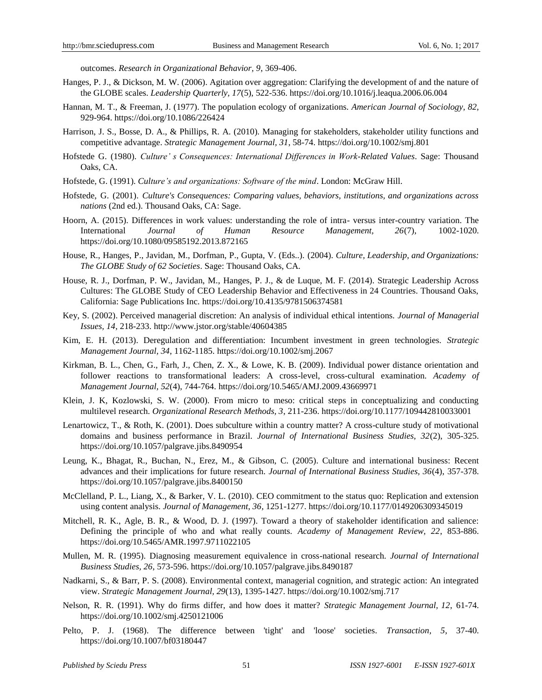outcomes. *Research in Organizational Behavior, 9*, 369-406.

- Hanges, P. J., & Dickson, M. W. (2006). Agitation over aggregation: Clarifying the development of and the nature of the GLOBE scales. *Leadership Quarterly, 17*(5), 522-536.<https://doi.org/10.1016/j.leaqua.2006.06.004>
- Hannan, M. T., & Freeman, J. (1977). The population ecology of organizations. *American Journal of Sociology, 82*, 929-964.<https://doi.org/10.1086/226424>
- Harrison, J. S., Bosse, D. A., & Phillips, R. A. (2010). Managing for stakeholders, stakeholder utility functions and competitive advantage. *Strategic Management Journal, 31*, 58-74.<https://doi.org/10.1002/smj.801>
- Hofstede G. (1980). *Culture' s Consequences: International Differences in Work-Related Values*. Sage: Thousand Oaks, CA.
- Hofstede, G. (1991). *Culture's and organizations: Software of the mind*. London: McGraw Hill.
- Hofstede, G. (2001). *Culture's Consequences: Comparing values, behaviors, institutions, and organizations across nations* (2nd ed.). Thousand Oaks, CA: Sage.
- Hoorn, A. (2015). Differences in work values: understanding the role of intra- versus inter-country variation. The International *Journal of Human Resource Management, 26*(7), 1002-1020. <https://doi.org/10.1080/09585192.2013.872165>
- House, R., Hanges, P., Javidan, M., Dorfman, P., Gupta, V. (Eds..). (2004). *Culture, Leadership, and Organizations: The GLOBE Study of 62 Societies*. Sage: Thousand Oaks, CA.
- House, R. J., Dorfman, P. W., Javidan, M., Hanges, P. J., & de Luque, M. F. (2014). Strategic Leadership Across Cultures: The GLOBE Study of CEO Leadership Behavior and Effectiveness in 24 Countries. Thousand Oaks, California: Sage Publications Inc. <https://doi.org/10.4135/9781506374581>
- Key, S. (2002). Perceived managerial discretion: An analysis of individual ethical intentions. *Journal of Managerial Issues, 14*, 218-233[. http://www.jstor.org/stable/40604385](http://www.jstor.org/stable/40604385)
- Kim, E. H. (2013). Deregulation and differentiation: Incumbent investment in green technologies. *Strategic Management Journal, 34*, 1162-1185.<https://doi.org/10.1002/smj.2067>
- Kirkman, B. L., Chen, G., Farh, J., Chen, Z. X., & Lowe, K. B. (2009). Individual power distance orientation and follower reactions to transformational leaders: A cross-level, cross-cultural examination. *Academy of Management Journal, 52*(4), 744-764[. https://doi.org/10.5465/AMJ.2009.43669971](https://doi.org/10.5465/AMJ.2009.43669971)
- Klein, J. K, Kozlowski, S. W. (2000). From micro to meso: critical steps in conceptualizing and conducting multilevel research. *Organizational Research Methods, 3*, 211-236.<https://doi.org/10.1177/109442810033001>
- Lenartowicz, T., & Roth, K. (2001). Does subculture within a country matter? A cross-culture study of motivational domains and business performance in Brazil. *Journal of International Business Studies, 32*(2), 305-325. <https://doi.org/10.1057/palgrave.jibs.8490954>
- Leung, K., Bhagat, R., Buchan, N., Erez, M., & Gibson, C. (2005). Culture and international business: Recent advances and their implications for future research. *Journal of International Business Studies, 36*(4), 357-378. <https://doi.org/10.1057/palgrave.jibs.8400150>
- McClelland, P. L., Liang, X., & Barker, V. L. (2010). CEO commitment to the status quo: Replication and extension using content analysis. *Journal of Management, 36*, 1251-1277[. https://doi.org/10.1177/0149206309345019](https://doi.org/10.1177/0149206309345019)
- Mitchell, R. K., Agle, B. R., & Wood, D. J. (1997). Toward a theory of stakeholder identification and salience: Defining the principle of who and what really counts. *Academy of Management Review, 22*, 853-886. <https://doi.org/10.5465/AMR.1997.9711022105>
- Mullen, M. R. (1995). Diagnosing measurement equivalence in cross-national research. *Journal of International Business Studies, 26*, 573-596[. https://doi.org/10.1057/palgrave.jibs.8490187](https://doi.org/10.1057/palgrave.jibs.8490187)
- Nadkarni, S., & Barr, P. S. (2008). Environmental context, managerial cognition, and strategic action: An integrated view. *Strategic Management Journal, 29*(13), 1395-1427[. https://doi.org/10.1002/smj.717](https://doi.org/10.1002/smj.717)
- Nelson, R. R. (1991). Why do firms differ, and how does it matter? *Strategic Management Journal, 12*, 61-74. <https://doi.org/10.1002/smj.4250121006>
- Pelto, P. J. (1968). The difference between 'tight' and 'loose' societies. *Transaction, 5*, 37-40. <https://doi.org/10.1007/bf03180447>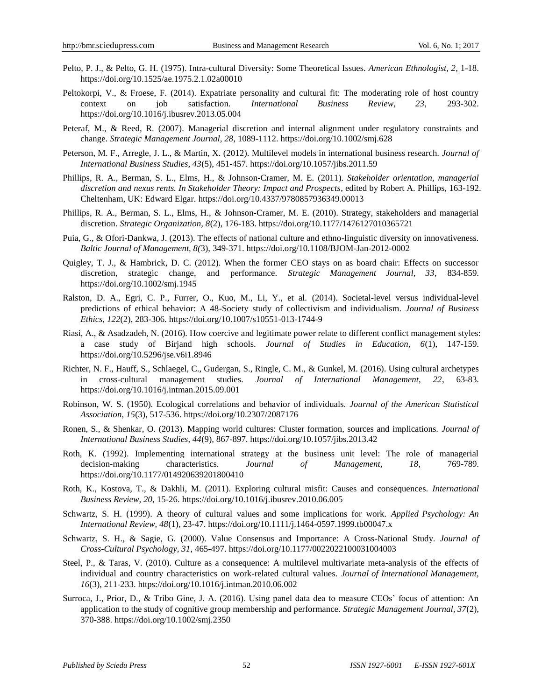- Pelto, P. J., & Pelto, G. H. (1975). Intra-cultural Diversity: Some Theoretical Issues. *American Ethnologist, 2*, 1-18. <https://doi.org/10.1525/ae.1975.2.1.02a00010>
- Peltokorpi, V., & Froese, F. (2014). Expatriate personality and cultural fit: The moderating role of host country context on job satisfaction. *International Business Review, 23*, 293-302. <https://doi.org/10.1016/j.ibusrev.2013.05.004>
- Peteraf, M., & Reed, R. (2007). Managerial discretion and internal alignment under regulatory constraints and change. *Strategic Management Journal, 28*, 1089-1112.<https://doi.org/10.1002/smj.628>
- Peterson, M. F., Arregle, J. L., & Martin, X. (2012). Multilevel models in international business research. *Journal of International Business Studies, 43*(5), 451-457[. https://doi.org/10.1057/jibs.2011.59](https://doi.org/10.1057/jibs.2011.59)
- Phillips, R. A., Berman, S. L., Elms, H., & Johnson-Cramer, M. E. (2011). *Stakeholder orientation, managerial discretion and nexus rents. In Stakeholder Theory: Impact and Prospects*, edited by Robert A. Phillips, 163-192. Cheltenham, UK: Edward Elgar. <https://doi.org/10.4337/9780857936349.00013>
- Phillips, R. A., Berman, S. L., Elms, H., & Johnson-Cramer, M. E. (2010). Strategy, stakeholders and managerial discretion. *Strategic Organization, 8*(2), 176-183.<https://doi.org/10.1177/1476127010365721>
- Puia, G., & Ofori-Dankwa, J. (2013). The effects of national culture and ethno-linguistic diversity on innovativeness. *Baltic Journal of Management, 8(*3), 349-371[. https://doi.org/10.1108/BJOM-Jan-2012-0002](https://doi.org/10.1108/BJOM-Jan-2012-0002)
- Quigley, T. J., & Hambrick, D. C. (2012). When the former CEO stays on as board chair: Effects on successor discretion, strategic change, and performance. *Strategic Management Journal, 33*, 834-859. <https://doi.org/10.1002/smj.1945>
- Ralston, D. A., Egri, C. P., Furrer, O., Kuo, M., Li, Y., et al. (2014). Societal-level versus individual-level predictions of ethical behavior: A 48-Society study of collectivism and individualism. *Journal of Business Ethics, 122*(2), 283-306.<https://doi.org/10.1007/s10551-013-1744-9>
- Riasi, A., & Asadzadeh, N. (2016). How coercive and legitimate power relate to different conflict management styles: a case study of Birjand high schools. *Journal of Studies in Education, 6*(1), 147-159. <https://doi.org/10.5296/jse.v6i1.8946>
- Richter, N. F., Hauff, S., Schlaegel, C., Gudergan, S., Ringle, C. M., & Gunkel, M. (2016). Using cultural archetypes in cross-cultural management studies. *Journal of International Management, 22*, 63-83. <https://doi.org/10.1016/j.intman.2015.09.001>
- Robinson, W. S. (1950). Ecological correlations and behavior of individuals. *Journal of the American Statistical Association, 15*(3), 517-536[. https://doi.org/10.2307/2087176](https://doi.org/10.2307/2087176)
- Ronen, S., & Shenkar, O. (2013). Mapping world cultures: Cluster formation, sources and implications. *Journal of International Business Studies, 44*(9), 867-897[. https://doi.org/10.1057/jibs.2013.42](https://doi.org/10.1057/jibs.2013.42)
- Roth, K. (1992). Implementing international strategy at the business unit level: The role of managerial decision-making characteristics. *Journal of Management, 18*, 769-789. <https://doi.org/10.1177/014920639201800410>
- Roth, K., Kostova, T., & Dakhli, M. (2011). Exploring cultural misfit: Causes and consequences. *International Business Review, 20*, 15-26[. https://doi.org/10.1016/j.ibusrev.2010.06.005](https://doi.org/10.1016/j.ibusrev.2010.06.005)
- Schwartz, S. H. (1999). A theory of cultural values and some implications for work. *Applied Psychology: An International Review, 48*(1), 23-47.<https://doi.org/10.1111/j.1464-0597.1999.tb00047.x>
- Schwartz, S. H., & Sagie, G. (2000). Value Consensus and Importance: A Cross-National Study. *Journal of Cross-Cultural Psychology, 31*, 465-497[. https://doi.org/10.1177/0022022100031004003](https://doi.org/10.1177/0022022100031004003)
- Steel, P., & Taras, V. (2010). Culture as a consequence: A multilevel multivariate meta-analysis of the effects of individual and country characteristics on work-related cultural values. *Journal of International Management, 16*(3), 211-233.<https://doi.org/10.1016/j.intman.2010.06.002>
- Surroca, J., Prior, D., & Tribo Gine, J. A. (2016). Using panel data dea to measure CEOs' focus of attention: An application to the study of cognitive group membership and performance. *Strategic Management Journal, 37*(2), 370-388.<https://doi.org/10.1002/smj.2350>